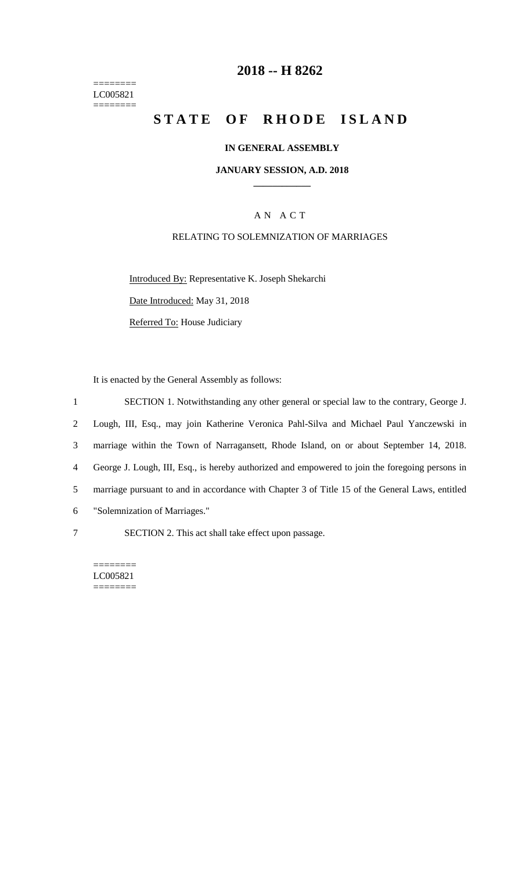======== LC005821  $=$ 

# **2018 -- H 8262**

# **STATE OF RHODE ISLAND**

## **IN GENERAL ASSEMBLY**

#### **JANUARY SESSION, A.D. 2018 \_\_\_\_\_\_\_\_\_\_\_\_**

# A N A C T

## RELATING TO SOLEMNIZATION OF MARRIAGES

Introduced By: Representative K. Joseph Shekarchi

Date Introduced: May 31, 2018

Referred To: House Judiciary

It is enacted by the General Assembly as follows:

 SECTION 1. Notwithstanding any other general or special law to the contrary, George J. Lough, III, Esq., may join Katherine Veronica Pahl-Silva and Michael Paul Yanczewski in marriage within the Town of Narragansett, Rhode Island, on or about September 14, 2018. George J. Lough, III, Esq., is hereby authorized and empowered to join the foregoing persons in marriage pursuant to and in accordance with Chapter 3 of Title 15 of the General Laws, entitled "Solemnization of Marriages." SECTION 2. This act shall take effect upon passage.

======== LC005821 ========